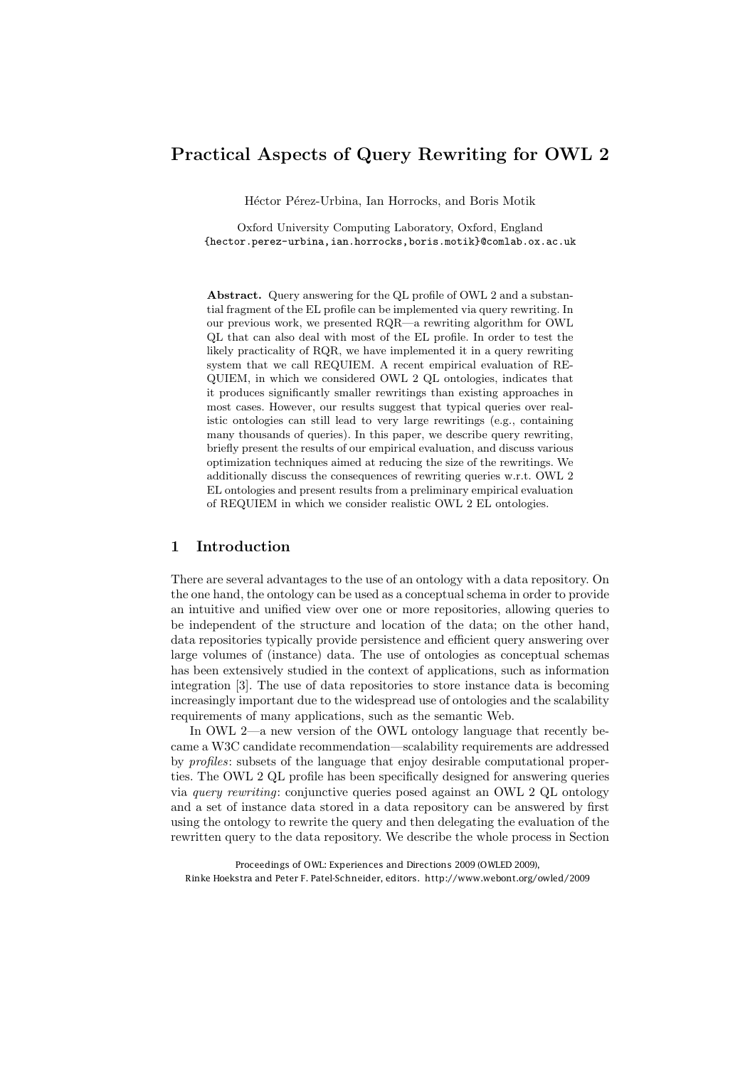# Practical Aspects of Query Rewriting for OWL 2

Héctor Pérez-Urbina, Ian Horrocks, and Boris Motik

Oxford University Computing Laboratory, Oxford, England {hector.perez-urbina,ian.horrocks,boris.motik}@comlab.ox.ac.uk

Abstract. Query answering for the QL profile of OWL 2 and a substantial fragment of the EL profile can be implemented via query rewriting. In our previous work, we presented RQR—a rewriting algorithm for OWL QL that can also deal with most of the EL profile. In order to test the likely practicality of RQR, we have implemented it in a query rewriting system that we call REQUIEM. A recent empirical evaluation of RE-QUIEM, in which we considered OWL 2 QL ontologies, indicates that it produces significantly smaller rewritings than existing approaches in most cases. However, our results suggest that typical queries over realistic ontologies can still lead to very large rewritings (e.g., containing many thousands of queries). In this paper, we describe query rewriting, briefly present the results of our empirical evaluation, and discuss various optimization techniques aimed at reducing the size of the rewritings. We additionally discuss the consequences of rewriting queries w.r.t. OWL 2 EL ontologies and present results from a preliminary empirical evaluation of REQUIEM in which we consider realistic OWL 2 EL ontologies.

### 1 Introduction

There are several advantages to the use of an ontology with a data repository. On the one hand, the ontology can be used as a conceptual schema in order to provide an intuitive and unified view over one or more repositories, allowing queries to be independent of the structure and location of the data; on the other hand, data repositories typically provide persistence and efficient query answering over large volumes of (instance) data. The use of ontologies as conceptual schemas has been extensively studied in the context of applications, such as information integration [3]. The use of data repositories to store instance data is becoming increasingly important due to the widespread use of ontologies and the scalability requirements of many applications, such as the semantic Web.

In OWL 2—a new version of the OWL ontology language that recently became a W3C candidate recommendation—scalability requirements are addressed by *profiles*: subsets of the language that enjoy desirable computational properties. The OWL 2 QL profile has been specifically designed for answering queries via *query rewriting*: conjunctive queries posed against an OWL 2 QL ontology and a set of instance data stored in a data repository can be answered by first using the ontology to rewrite the query and then delegating the evaluation of the rewritten query to the data repository. We describe the whole process in Section

Proceedings of OWL: Experiences and Directions 2009 (OWLED 2009), Rinke Hoekstra and Peter F. Patel-Schneider, editors. http://www.webont.org/owled/2009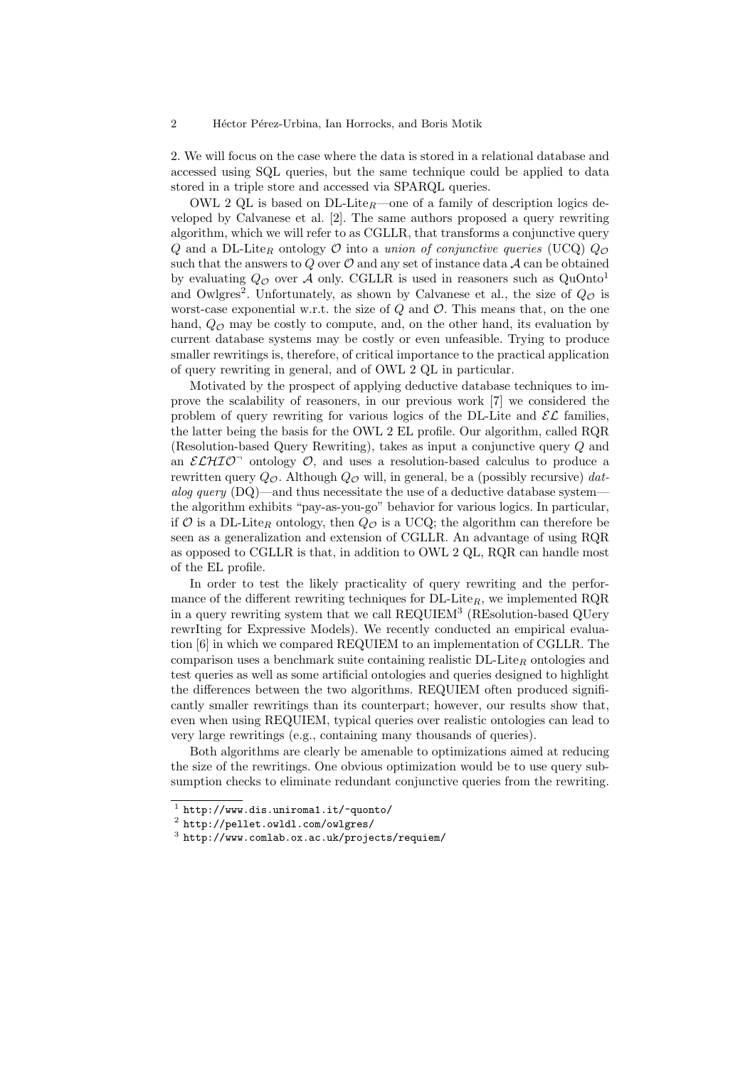#### 2 Héctor Pérez-Urbina, Ian Horrocks, and Boris Motik

2. We will focus on the case where the data is stored in a relational database and accessed using SQL queries, but the same technique could be applied to data stored in a triple store and accessed via SPARQL queries.

OWL 2 QL is based on DL-Lite*R*—one of a family of description logics developed by Calvanese et al. [2]. The same authors proposed a query rewriting algorithm, which we will refer to as CGLLR, that transforms a conjunctive query *Q* and a DL-Lite<sub>R</sub> ontology  $\mathcal O$  into a *union of conjunctive queries* (UCQ)  $Q_{\mathcal O}$ such that the answers to  $Q$  over  $O$  and any set of instance data  $A$  can be obtained by evaluating  $Q_{\mathcal{O}}$  over A only. CGLLR is used in reasoners such as  $QuOnto<sup>1</sup>$ and Owlgres<sup>2</sup>. Unfortunately, as shown by Calvanese et al., the size of  $Q_{\mathcal{O}}$  is worst-case exponential w.r.t. the size of *Q* and *O*. This means that, on the one hand,  $Q_{\mathcal{O}}$  may be costly to compute, and, on the other hand, its evaluation by current database systems may be costly or even unfeasible. Trying to produce smaller rewritings is, therefore, of critical importance to the practical application of query rewriting in general, and of OWL 2 QL in particular.

Motivated by the prospect of applying deductive database techniques to improve the scalability of reasoners, in our previous work [7] we considered the problem of query rewriting for various logics of the DL-Lite and  $\mathcal{EL}$  families, the latter being the basis for the OWL 2 EL profile. Our algorithm, called RQR (Resolution-based Query Rewriting), takes as input a conjunctive query *Q* and an  $\mathcal{ELHIO}$  ontology  $\mathcal{O}$ , and uses a resolution-based calculus to produce a rewritten query *QO*. Although *Q<sup>O</sup>* will, in general, be a (possibly recursive) *datalog query* (DQ)—and thus necessitate the use of a deductive database system the algorithm exhibits "pay-as-you-go" behavior for various logics. In particular, if  $\mathcal O$  is a DL-Lite<sub>R</sub> ontology, then  $Q_{\mathcal O}$  is a UCQ; the algorithm can therefore be seen as a generalization and extension of CGLLR. An advantage of using RQR as opposed to CGLLR is that, in addition to OWL 2 QL, RQR can handle most of the EL profile.

In order to test the likely practicality of query rewriting and the performance of the different rewriting techniques for DL-Lite*R*, we implemented RQR in a query rewriting system that we call  $REQUIEM<sup>3</sup>$  (REsolution-based QUery rewrIting for Expressive Models). We recently conducted an empirical evaluation [6] in which we compared REQUIEM to an implementation of CGLLR. The comparison uses a benchmark suite containing realistic DL-Lite*<sup>R</sup>* ontologies and test queries as well as some artificial ontologies and queries designed to highlight the differences between the two algorithms. REQUIEM often produced significantly smaller rewritings than its counterpart; however, our results show that, even when using REQUIEM, typical queries over realistic ontologies can lead to very large rewritings (e.g., containing many thousands of queries).

Both algorithms are clearly be amenable to optimizations aimed at reducing the size of the rewritings. One obvious optimization would be to use query subsumption checks to eliminate redundant conjunctive queries from the rewriting.

 $^1$ http://www.dis.uniroma1.it/~quonto/ $^2$ http://pellet.owldl.com/owlgres/

<sup>3</sup> http://www.comlab.ox.ac.uk/projects/requiem/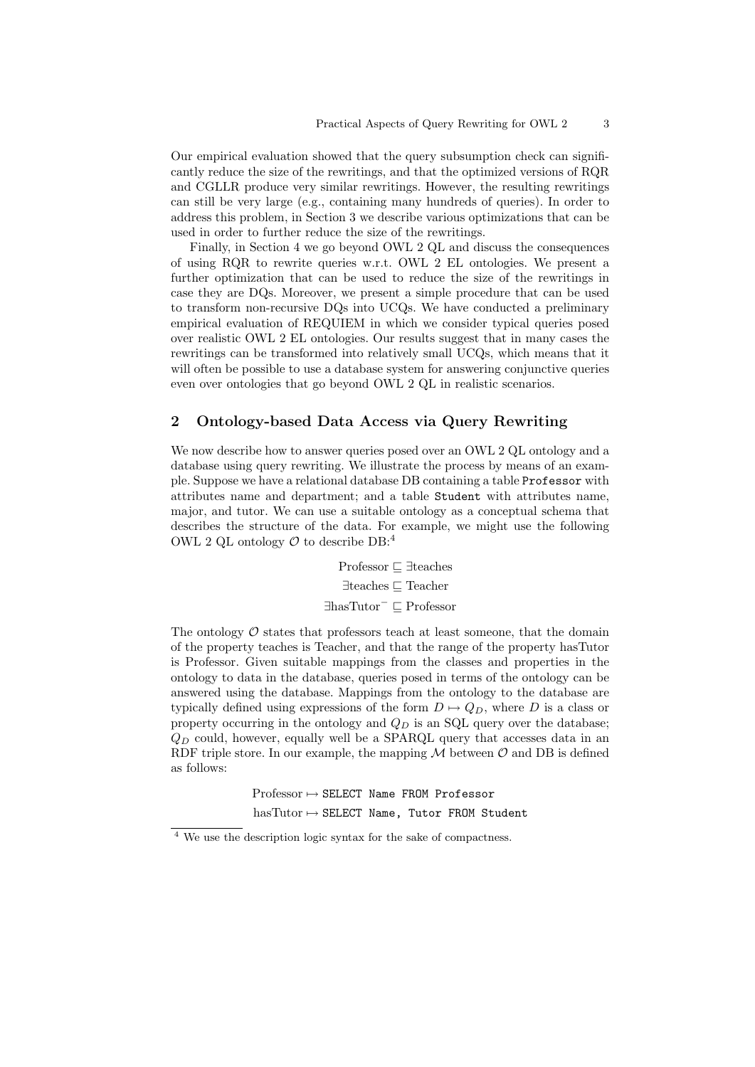Our empirical evaluation showed that the query subsumption check can significantly reduce the size of the rewritings, and that the optimized versions of RQR and CGLLR produce very similar rewritings. However, the resulting rewritings can still be very large (e.g., containing many hundreds of queries). In order to address this problem, in Section 3 we describe various optimizations that can be used in order to further reduce the size of the rewritings.

Finally, in Section 4 we go beyond OWL 2 QL and discuss the consequences of using RQR to rewrite queries w.r.t. OWL 2 EL ontologies. We present a further optimization that can be used to reduce the size of the rewritings in case they are DQs. Moreover, we present a simple procedure that can be used to transform non-recursive DQs into UCQs. We have conducted a preliminary empirical evaluation of REQUIEM in which we consider typical queries posed over realistic OWL 2 EL ontologies. Our results suggest that in many cases the rewritings can be transformed into relatively small UCQs, which means that it will often be possible to use a database system for answering conjunctive queries even over ontologies that go beyond OWL 2 QL in realistic scenarios.

## 2 Ontology-based Data Access via Query Rewriting

We now describe how to answer queries posed over an OWL 2 QL ontology and a database using query rewriting. We illustrate the process by means of an example. Suppose we have a relational database DB containing a table Professor with attributes name and department; and a table Student with attributes name, major, and tutor. We can use a suitable ontology as a conceptual schema that describes the structure of the data. For example, we might use the following OWL 2 QL ontology  $\mathcal O$  to describe DB:<sup>4</sup>

> Professor ! ∃teaches ∃teaches ⊑ Teacher ∃hasTutor<sup>−</sup> ! Professor

The ontology  $\mathcal O$  states that professors teach at least someone, that the domain of the property teaches is Teacher, and that the range of the property hasTutor is Professor. Given suitable mappings from the classes and properties in the ontology to data in the database, queries posed in terms of the ontology can be answered using the database. Mappings from the ontology to the database are typically defined using expressions of the form  $D \mapsto Q_D$ , where *D* is a class or property occurring in the ontology and  $Q_D$  is an SQL query over the database; *Q<sup>D</sup>* could, however, equally well be a SPARQL query that accesses data in an RDF triple store. In our example, the mapping  $M$  between  $O$  and DB is defined as follows:

> $Professor \rightarrow SELECT$  Name FROM Professor  $hasTutor \mapsto$  SELECT Name, Tutor FROM Student

<sup>4</sup> We use the description logic syntax for the sake of compactness.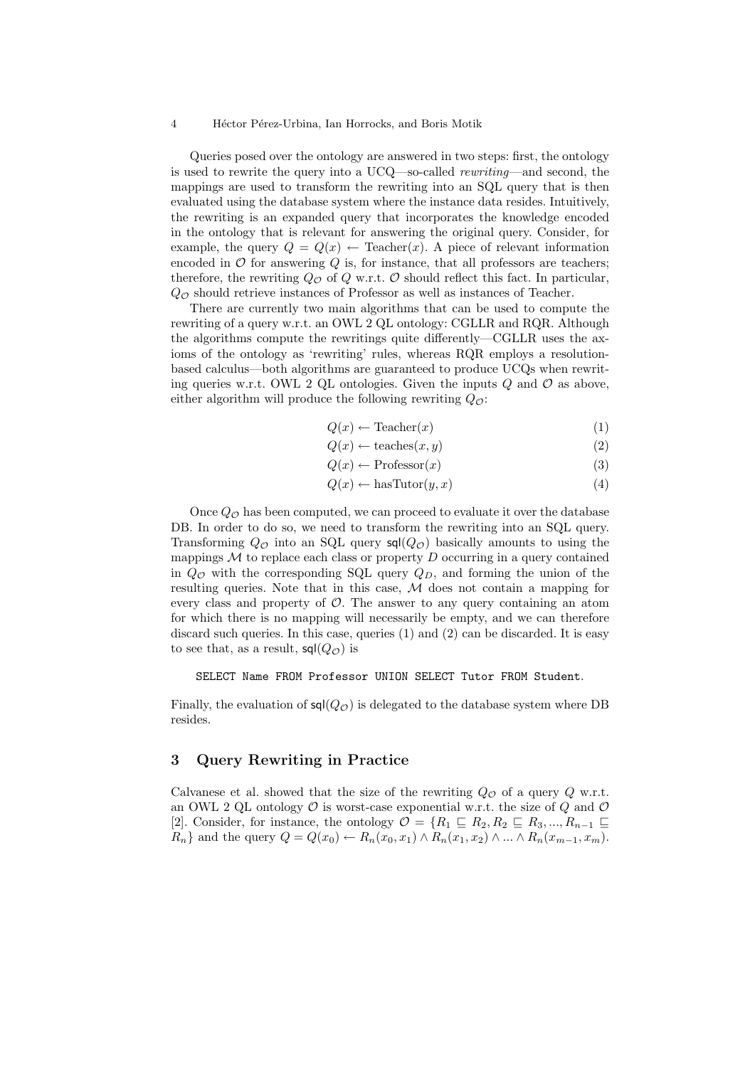#### 4 Héctor Pérez-Urbina, Ian Horrocks, and Boris Motik

Queries posed over the ontology are answered in two steps: first, the ontology is used to rewrite the query into a UCQ—so-called *rewriting*—and second, the mappings are used to transform the rewriting into an SQL query that is then evaluated using the database system where the instance data resides. Intuitively, the rewriting is an expanded query that incorporates the knowledge encoded in the ontology that is relevant for answering the original query. Consider, for example, the query  $Q = Q(x) \leftarrow$  Teacher(*x*). A piece of relevant information encoded in  $\mathcal O$  for answering  $Q$  is, for instance, that all professors are teachers; therefore, the rewriting  $Q_{\mathcal{O}}$  of  $Q$  w.r.t.  $\mathcal O$  should reflect this fact. In particular,  $Q_{\mathcal{O}}$  should retrieve instances of Professor as well as instances of Teacher.

There are currently two main algorithms that can be used to compute the rewriting of a query w.r.t. an OWL 2 QL ontology: CGLLR and RQR. Although the algorithms compute the rewritings quite differently—CGLLR uses the axioms of the ontology as 'rewriting' rules, whereas RQR employs a resolutionbased calculus—both algorithms are guaranteed to produce UCQs when rewriting queries w.r.t. OWL 2 QL ontologies. Given the inputs  $Q$  and  $\mathcal O$  as above, either algorithm will produce the following rewriting  $Q_{\mathcal{O}}$ :

$$
Q(x) \leftarrow \text{Teacher}(x) \tag{1}
$$

$$
Q(x) \leftarrow \text{teaches}(x, y) \tag{2}
$$

$$
Q(x) \leftarrow \text{Professor}(x) \tag{3}
$$

$$
Q(x) \leftarrow \text{hasTutor}(y, x) \tag{4}
$$

Once  $Q_{\mathcal{O}}$  has been computed, we can proceed to evaluate it over the database DB. In order to do so, we need to transform the rewriting into an SQL query. Transforming  $Q_{\mathcal{O}}$  into an SQL query  $\mathsf{sql}(Q_{\mathcal{O}})$  basically amounts to using the mappings  $M$  to replace each class or property  $D$  occurring in a query contained in *Q<sup>O</sup>* with the corresponding SQL query *QD*, and forming the union of the resulting queries. Note that in this case, *M* does not contain a mapping for every class and property of *O*. The answer to any query containing an atom for which there is no mapping will necessarily be empty, and we can therefore discard such queries. In this case, queries (1) and (2) can be discarded. It is easy to see that, as a result,  $\mathsf{sql}(Q_{\mathcal{O}})$  is

SELECT Name FROM Professor UNION SELECT Tutor FROM Student*.*

Finally, the evaluation of  $\mathsf{sql}(Q_\mathcal{O})$  is delegated to the database system where DB resides.

### 3 Query Rewriting in Practice

Calvanese et al. showed that the size of the rewriting  $Q_{\mathcal{O}}$  of a query  $Q$  w.r.t. an OWL 2 QL ontology  $\mathcal O$  is worst-case exponential w.r.t. the size of  $Q$  and  $\mathcal O$ [2]. Consider, for instance, the ontology  $\mathcal{O} = \{R_1 \sqsubseteq R_2, R_2 \sqsubseteq R_3, ..., R_{n-1} \sqsubseteq$ *R*<sub>*n*</sub></sub>} and the query  $Q = Q(x_0) \leftarrow R_n(x_0, x_1) \wedge R_n(x_1, x_2) \wedge \dots \wedge R_n(x_{m-1}, x_m)$ .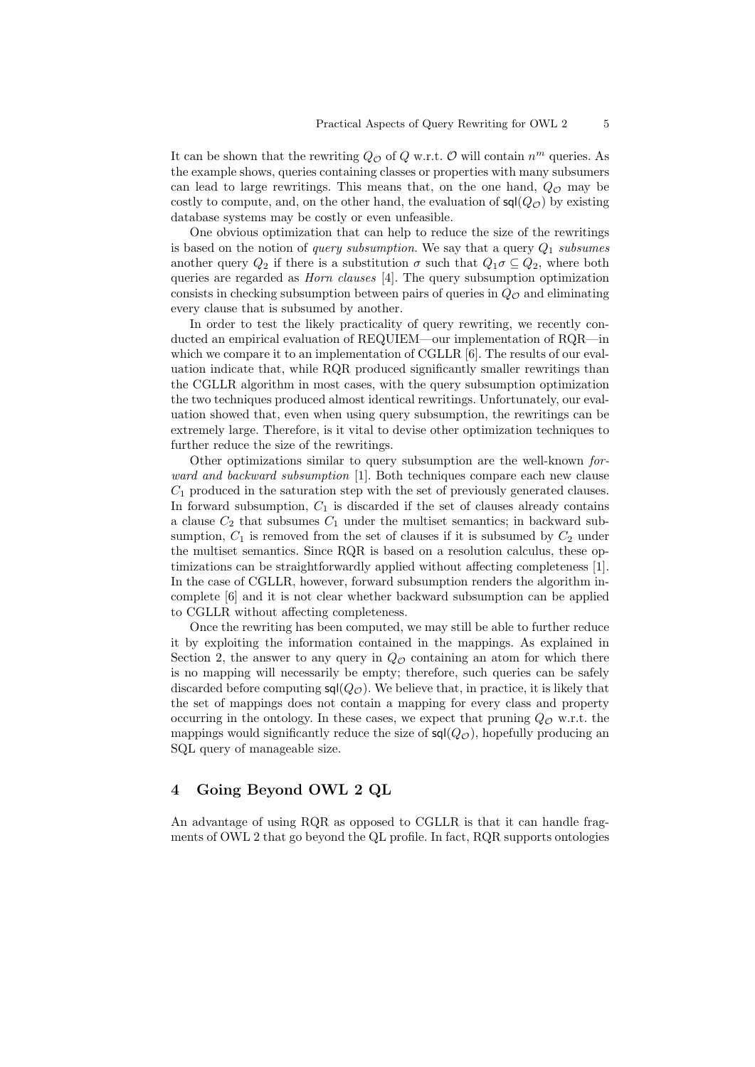It can be shown that the rewriting  $Q_{\mathcal{O}}$  of  $Q$  w.r.t.  $\mathcal O$  will contain  $n^m$  queries. As the example shows, queries containing classes or properties with many subsumers can lead to large rewritings. This means that, on the one hand,  $Q_{\mathcal{O}}$  may be costly to compute, and, on the other hand, the evaluation of  $\mathsf{sql}(Q_\mathcal{O})$  by existing database systems may be costly or even unfeasible.

One obvious optimization that can help to reduce the size of the rewritings is based on the notion of *query subsumption*. We say that a query *Q*<sup>1</sup> *subsumes* another query  $Q_2$  if there is a substitution  $\sigma$  such that  $Q_1 \sigma \subseteq Q_2$ , where both queries are regarded as *Horn clauses* [4]. The query subsumption optimization consists in checking subsumption between pairs of queries in  $Q<sub>O</sub>$  and eliminating every clause that is subsumed by another.

In order to test the likely practicality of query rewriting, we recently conducted an empirical evaluation of REQUIEM—our implementation of RQR—in which we compare it to an implementation of CGLLR [6]. The results of our evaluation indicate that, while RQR produced significantly smaller rewritings than the CGLLR algorithm in most cases, with the query subsumption optimization the two techniques produced almost identical rewritings. Unfortunately, our evaluation showed that, even when using query subsumption, the rewritings can be extremely large. Therefore, is it vital to devise other optimization techniques to further reduce the size of the rewritings.

Other optimizations similar to query subsumption are the well-known *forward and backward subsumption* [1]. Both techniques compare each new clause  $C_1$  produced in the saturation step with the set of previously generated clauses. In forward subsumption,  $C_1$  is discarded if the set of clauses already contains a clause  $C_2$  that subsumes  $C_1$  under the multiset semantics; in backward subsumption,  $C_1$  is removed from the set of clauses if it is subsumed by  $C_2$  under the multiset semantics. Since RQR is based on a resolution calculus, these optimizations can be straightforwardly applied without affecting completeness [1]. In the case of CGLLR, however, forward subsumption renders the algorithm incomplete [6] and it is not clear whether backward subsumption can be applied to CGLLR without affecting completeness.

Once the rewriting has been computed, we may still be able to further reduce it by exploiting the information contained in the mappings. As explained in Section 2, the answer to any query in  $Q_{\mathcal{O}}$  containing an atom for which there is no mapping will necessarily be empty; therefore, such queries can be safely discarded before computing  $\mathsf{sq}(Q_\mathcal{O})$ . We believe that, in practice, it is likely that the set of mappings does not contain a mapping for every class and property occurring in the ontology. In these cases, we expect that pruning  $Q_{\mathcal{O}}$  w.r.t. the mappings would significantly reduce the size of  $\mathsf{sql}(Q_\mathcal{O})$ , hopefully producing an SQL query of manageable size.

### 4 Going Beyond OWL 2 QL

An advantage of using RQR as opposed to CGLLR is that it can handle fragments of OWL 2 that go beyond the QL profile. In fact, RQR supports ontologies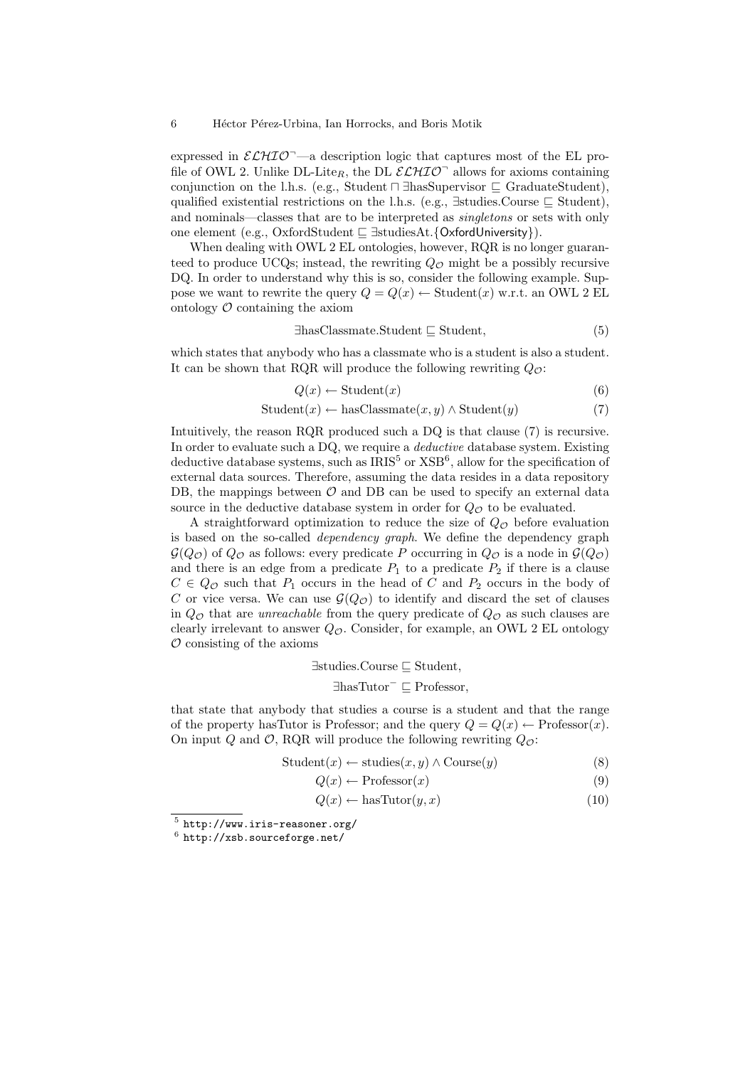expressed in  $\mathcal{ELHIO}$ <sup>-</sup>—a description logic that captures most of the EL profile of OWL 2. Unlike  $DL\text{-}Like$ , the  $DL\text{ }\mathcal{ELHIO}^{\frown}$  allows for axioms containing conjunction on the l.h.s. (e.g., Student  $\Box$  ∃hasSupervisor  $\Box$  GraduateStudent), qualified existential restrictions on the l.h.s. (e.g.,  $\exists$ studies.Course  $\sqsubset$  Student), and nominals—classes that are to be interpreted as *singletons* or sets with only one element (e.g., OxfordStudent ! ∃studiesAt*.{*OxfordUniversity*}*).

When dealing with OWL 2 EL ontologies, however, RQR is no longer guaranteed to produce UCQs; instead, the rewriting  $Q<sub>O</sub>$  might be a possibly recursive DQ. In order to understand why this is so, consider the following example. Suppose we want to rewrite the query  $Q = Q(x) \leftarrow$  Student $(x)$  w.r.t. an OWL 2 EL ontology  $\mathcal O$  containing the axiom

$$
\exists has \text{Classmate}. \text{Student} \sqsubseteq \text{Student}, \tag{5}
$$

which states that anybody who has a classmate who is a student is also a student. It can be shown that RQR will produce the following rewriting  $Q_{\mathcal{O}}$ :

$$
Q(x) \leftarrow \text{Student}(x) \tag{6}
$$

$$
Student(x) \leftarrow hasClassifier(x, y) \land Student(y)
$$
 (7)

Intuitively, the reason RQR produced such a DQ is that clause (7) is recursive. In order to evaluate such a DQ, we require a *deductive* database system. Existing deductive database systems, such as  $IRIS<sup>5</sup>$  or  $XSB<sup>6</sup>$ , allow for the specification of external data sources. Therefore, assuming the data resides in a data repository DB, the mappings between  $\mathcal O$  and DB can be used to specify an external data source in the deductive database system in order for  $Q_{\mathcal{O}}$  to be evaluated.

A straightforward optimization to reduce the size of *Q<sup>O</sup>* before evaluation is based on the so-called *dependency graph*. We define the dependency graph  $\mathcal{G}(Q_{\mathcal{O}})$  of  $Q_{\mathcal{O}}$  as follows: every predicate *P* occurring in  $Q_{\mathcal{O}}$  is a node in  $\mathcal{G}(Q_{\mathcal{O}})$ and there is an edge from a predicate  $P_1$  to a predicate  $P_2$  if there is a clause  $C \in Q_{\mathcal{O}}$  such that  $P_1$  occurs in the head of  $C$  and  $P_2$  occurs in the body of *C* or vice versa. We can use  $\mathcal{G}(Q_{\mathcal{O}})$  to identify and discard the set of clauses in  $Q_{\mathcal{O}}$  that are *unreachable* from the query predicate of  $Q_{\mathcal{O}}$  as such clauses are clearly irrelevant to answer  $Q_{\mathcal{O}}$ . Consider, for example, an OWL 2 EL ontology *O* consisting of the axioms

$$
\exists \text{studies}.\text{Course} \sqsubseteq \text{Student},
$$
  

$$
\exists \text{hasTutor}^- \sqsubseteq \text{Professor},
$$

that state that anybody that studies a course is a student and that the range of the property hasTutor is Professor; and the query  $Q = Q(x) \leftarrow$  Professor $(x)$ . On input *Q* and *O*, RQR will produce the following rewriting  $Q_{\mathcal{O}}$ :

$$
Student(x) \leftarrow studies(x, y) \land Course(y)
$$
 (8)

$$
Q(x) \leftarrow \text{Professor}(x) \tag{9}
$$

$$
Q(x) \leftarrow \text{hasTutor}(y, x) \tag{10}
$$

 $^5$ http://www.iris-reasoner.org/  $\,$ 

 $6$  http://xsb.sourceforge.net/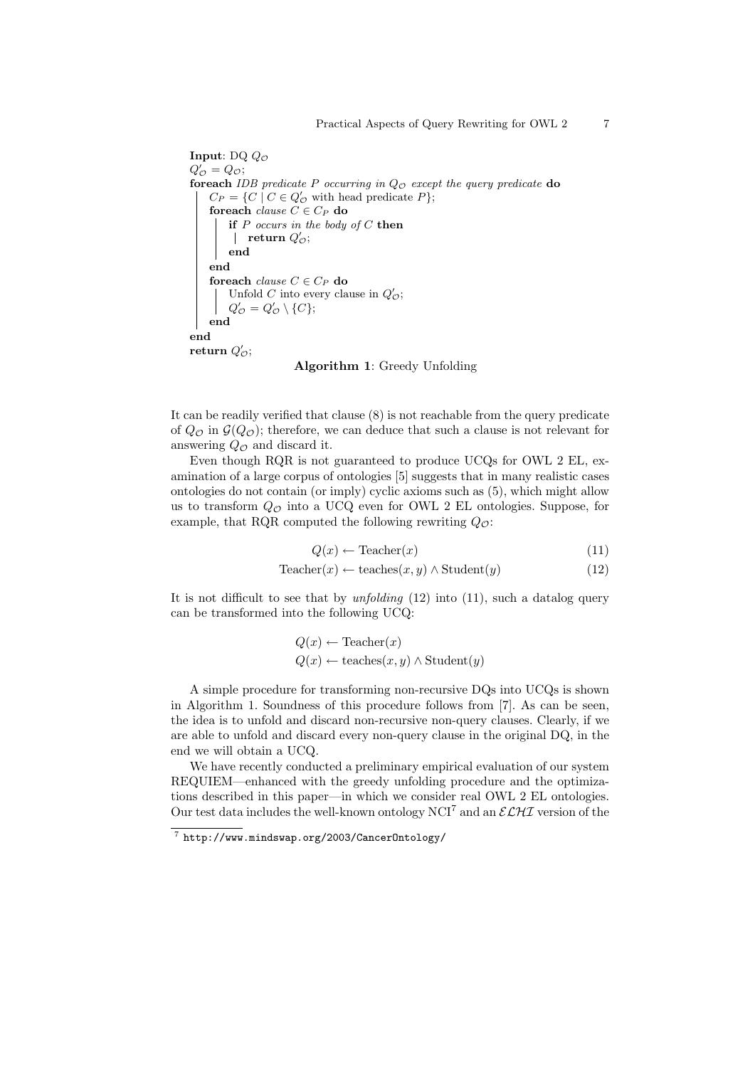```
Input: DQ QO
Q'_{\mathcal{O}} = Q_{\mathcal{O}};foreach IDB predicate P occurring in QO except the query predicate do
     C_P = \{C \mid C \in Q'_O \text{ with head predicate } P\};
     foreach clause \ C \in C_P do
          if P occurs in the body of C then
               {\bf return} \; Q'_{{\cal O}};end
     end
     foreach clause C \in C_P do
          Unfold C into every clause in Q'_{\mathcal{O}};
          Q'_{\mathcal{O}} = Q'_{\mathcal{O}} \setminus \{C\};end
end
return Q'_{\mathcal{O}};
```
Algorithm 1: Greedy Unfolding

It can be readily verified that clause (8) is not reachable from the query predicate of  $Q_{\mathcal{O}}$  in  $\mathcal{G}(Q_{\mathcal{O}})$ ; therefore, we can deduce that such a clause is not relevant for answering  $Q_{\mathcal{O}}$  and discard it.

Even though RQR is not guaranteed to produce UCQs for OWL 2 EL, examination of a large corpus of ontologies [5] suggests that in many realistic cases ontologies do not contain (or imply) cyclic axioms such as (5), which might allow us to transform  $Q_{\mathcal{O}}$  into a UCQ even for OWL 2 EL ontologies. Suppose, for example, that RQR computed the following rewriting *QO*:

$$
Q(x) \leftarrow \text{Teacher}(x) \tag{11}
$$

$$
\text{Teacher}(x) \leftarrow \text{teaches}(x, y) \land \text{Student}(y) \tag{12}
$$

It is not difficult to see that by *unfolding* (12) into (11), such a datalog query can be transformed into the following UCQ:

$$
Q(x) \leftarrow \text{Teacher}(x)
$$
  

$$
Q(x) \leftarrow \text{teaches}(x, y) \land \text{Student}(y)
$$

A simple procedure for transforming non-recursive DQs into UCQs is shown in Algorithm 1. Soundness of this procedure follows from [7]. As can be seen, the idea is to unfold and discard non-recursive non-query clauses. Clearly, if we are able to unfold and discard every non-query clause in the original DQ, in the end we will obtain a UCQ.

We have recently conducted a preliminary empirical evaluation of our system REQUIEM—enhanced with the greedy unfolding procedure and the optimizations described in this paper—in which we consider real OWL 2 EL ontologies. Our test data includes the well-known ontology  $NCI<sup>7</sup>$  and an  $\mathcal{ELH}I$  version of the

<sup>7</sup> http://www.mindswap.org/2003/CancerOntology/